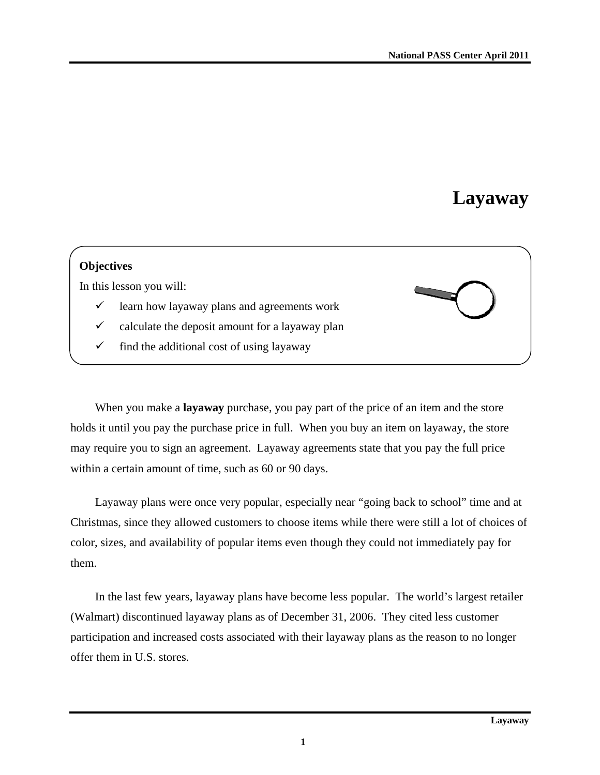# **Layaway**

### **Objectives**

In this lesson you will:

- $\checkmark$  learn how layaway plans and agreements work
- $\checkmark$  calculate the deposit amount for a layaway plan
- $\checkmark$  find the additional cost of using layaway

When you make a **layaway** purchase, you pay part of the price of an item and the store holds it until you pay the purchase price in full. When you buy an item on layaway, the store may require you to sign an agreement. Layaway agreements state that you pay the full price within a certain amount of time, such as 60 or 90 days.

Layaway plans were once very popular, especially near "going back to school" time and at Christmas, since they allowed customers to choose items while there were still a lot of choices of color, sizes, and availability of popular items even though they could not immediately pay for them.

In the last few years, layaway plans have become less popular. The world's largest retailer (Walmart) discontinued layaway plans as of December 31, 2006. They cited less customer participation and increased costs associated with their layaway plans as the reason to no longer offer them in U.S. stores.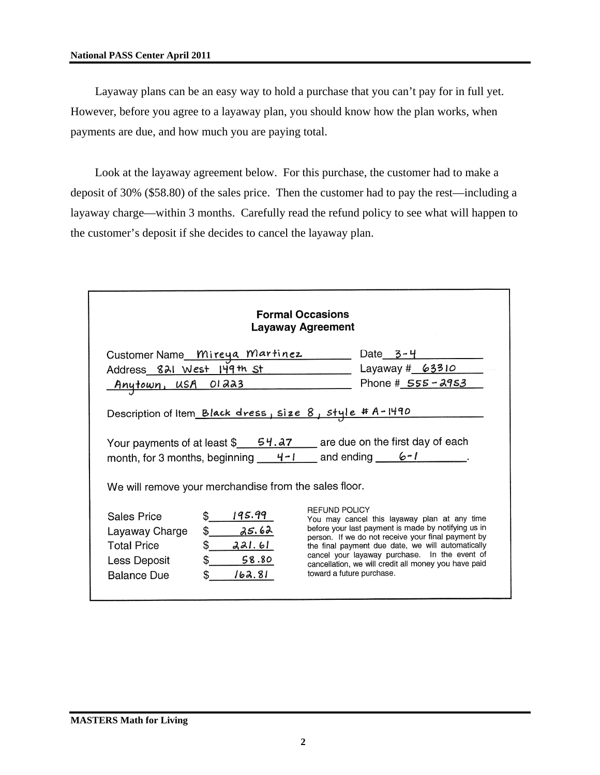#### **National PASS Center April 2011**

Layaway plans can be an easy way to hold a purchase that you can't pay for in full yet. However, before you agree to a layaway plan, you should know how the plan works, when payments are due, and how much you are paying total.

Look at the layaway agreement below. For this purchase, the customer had to make a deposit of 30% (\$58.80) of the sales price. Then the customer had to pay the rest—including a layaway charge—within 3 months. Carefully read the refund policy to see what will happen to the customer's deposit if she decides to cancel the layaway plan.

| <b>Formal Occasions</b><br><b>Layaway Agreement</b>                                                                                                                                            |                                                                                |                                                                                                                                                                                                                                                                                                                                                                              |                    |  |  |
|------------------------------------------------------------------------------------------------------------------------------------------------------------------------------------------------|--------------------------------------------------------------------------------|------------------------------------------------------------------------------------------------------------------------------------------------------------------------------------------------------------------------------------------------------------------------------------------------------------------------------------------------------------------------------|--------------------|--|--|
|                                                                                                                                                                                                | Customer Name Mireya Martinez                                                  |                                                                                                                                                                                                                                                                                                                                                                              | Date $3 - 4$       |  |  |
|                                                                                                                                                                                                | Address 821 West 149th St                                                      |                                                                                                                                                                                                                                                                                                                                                                              | Layaway # 63310    |  |  |
| Anytown, USA OI223                                                                                                                                                                             |                                                                                |                                                                                                                                                                                                                                                                                                                                                                              | Phone # 555 - 2953 |  |  |
| Your payments of at least $\frac{54.27}{2}$ are due on the first day of each<br>month, for 3 months, beginning $4-1$ and ending $6-1$<br>We will remove your merchandise from the sales floor. |                                                                                |                                                                                                                                                                                                                                                                                                                                                                              |                    |  |  |
| <b>Sales Price</b><br>Layaway Charge<br><b>Total Price</b><br>Less Deposit<br><b>Balance Due</b>                                                                                               | 195.99<br>\$.<br>\$<br>25.62<br>\$.<br>221.61<br>\$.<br>58.80<br>162.81<br>\$. | <b>REFUND POLICY</b><br>You may cancel this layaway plan at any time<br>before your last payment is made by notifying us in<br>person. If we do not receive your final payment by<br>the final payment due date, we will automatically<br>cancel your layaway purchase. In the event of<br>cancellation, we will credit all money you have paid<br>toward a future purchase. |                    |  |  |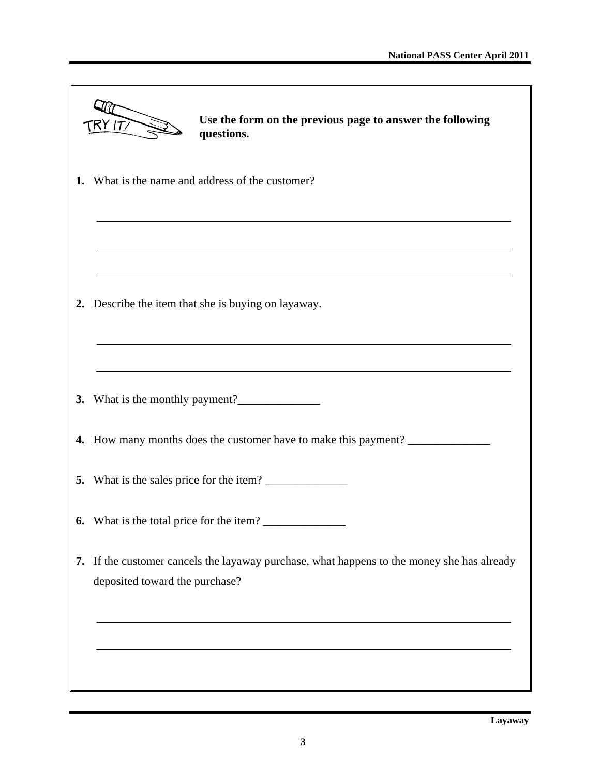|    | Use the form on the previous page to answer the following<br>$\mathsf{TRY}$ (T/ $\mathsf{\Gamma}$<br>questions.           |
|----|---------------------------------------------------------------------------------------------------------------------------|
| 1. | What is the name and address of the customer?                                                                             |
|    |                                                                                                                           |
| 2. | Describe the item that she is buying on layaway.                                                                          |
| 3. |                                                                                                                           |
|    | 4. How many months does the customer have to make this payment?                                                           |
|    | 5. What is the sales price for the item?                                                                                  |
|    | 6. What is the total price for the item?                                                                                  |
| 7. | If the customer cancels the layaway purchase, what happens to the money she has already<br>deposited toward the purchase? |
|    |                                                                                                                           |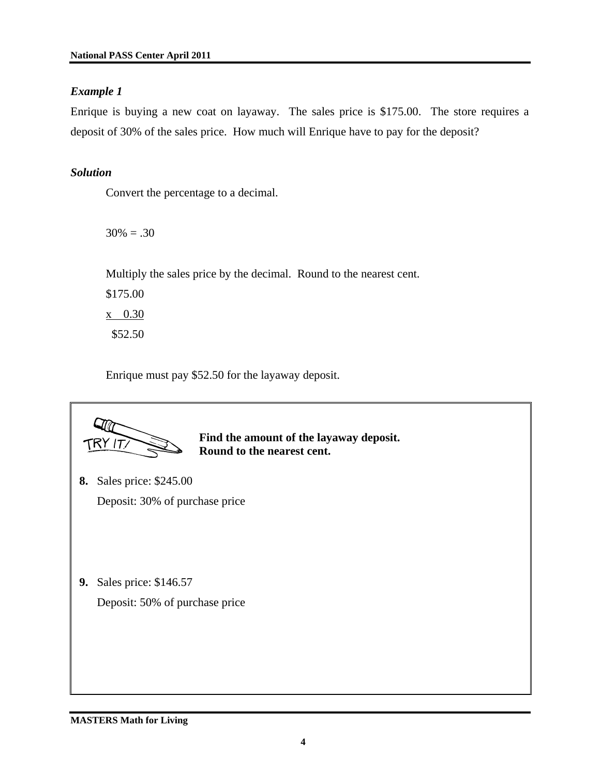## *Example 1*

Enrique is buying a new coat on layaway. The sales price is \$175.00. The store requires a deposit of 30% of the sales price. How much will Enrique have to pay for the deposit?

# *Solution*

Convert the percentage to a decimal.

 $30\% = .30$ 

Multiply the sales price by the decimal. Round to the nearest cent.

\$175.00 x 0.30 \$52.50

Enrique must pay \$52.50 for the layaway deposit.



**Find the amount of the layaway deposit. Round to the nearest cent.** 

- **8.** Sales price: \$245.00 Deposit: 30% of purchase price
- **9.** Sales price: \$146.57

Deposit: 50% of purchase price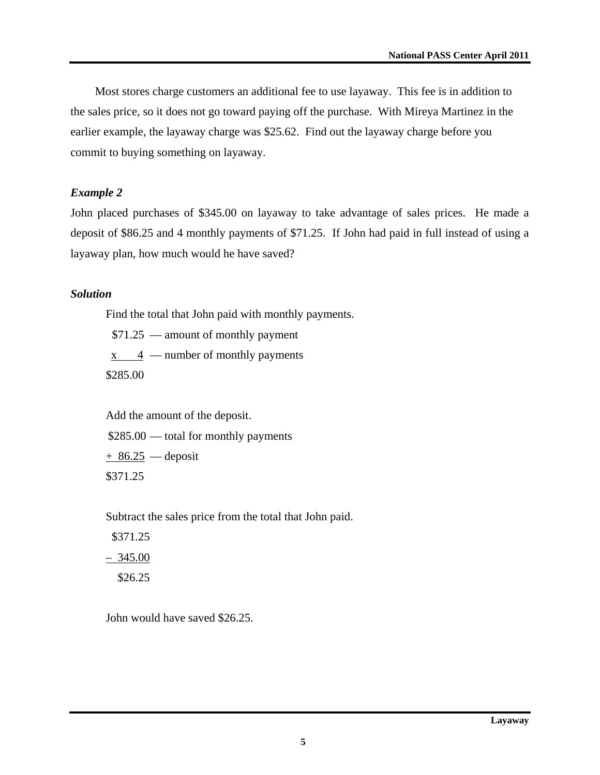Most stores charge customers an additional fee to use layaway. This fee is in addition to the sales price, so it does not go toward paying off the purchase. With Mireya Martinez in the earlier example, the layaway charge was \$25.62. Find out the layaway charge before you commit to buying something on layaway.

#### *Example 2*

John placed purchases of \$345.00 on layaway to take advantage of sales prices. He made a deposit of \$86.25 and 4 monthly payments of \$71.25. If John had paid in full instead of using a layaway plan, how much would he have saved?

#### *Solution*

Find the total that John paid with monthly payments.

\$71.25 — amount of monthly payment

 $x \times 4$  — number of monthly payments

\$285.00

Add the amount of the deposit.

\$285.00 — total for monthly payments

 $+86.25$  — deposit \$371.25

Subtract the sales price from the total that John paid.

 \$371.25  $-345.00$ \$26.25

John would have saved \$26.25.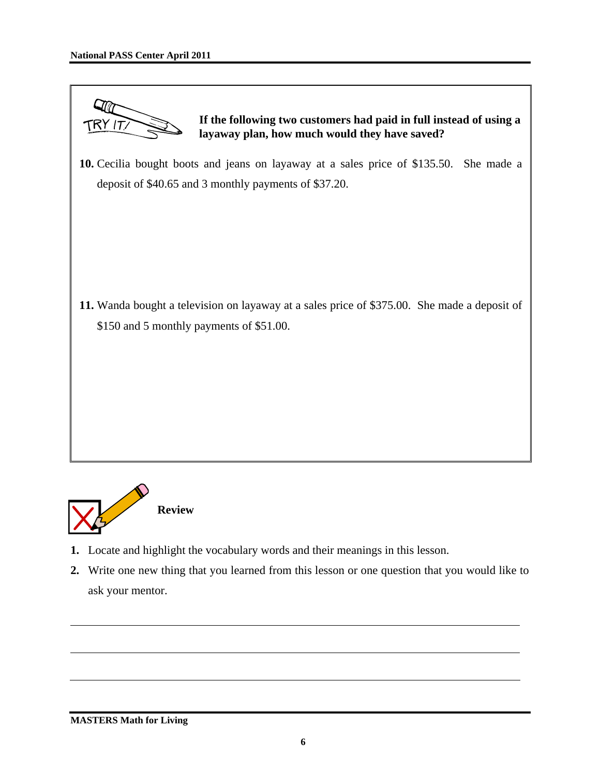



- **1.** Locate and highlight the vocabulary words and their meanings in this lesson.
- **2.** Write one new thing that you learned from this lesson or one question that you would like to ask your mentor.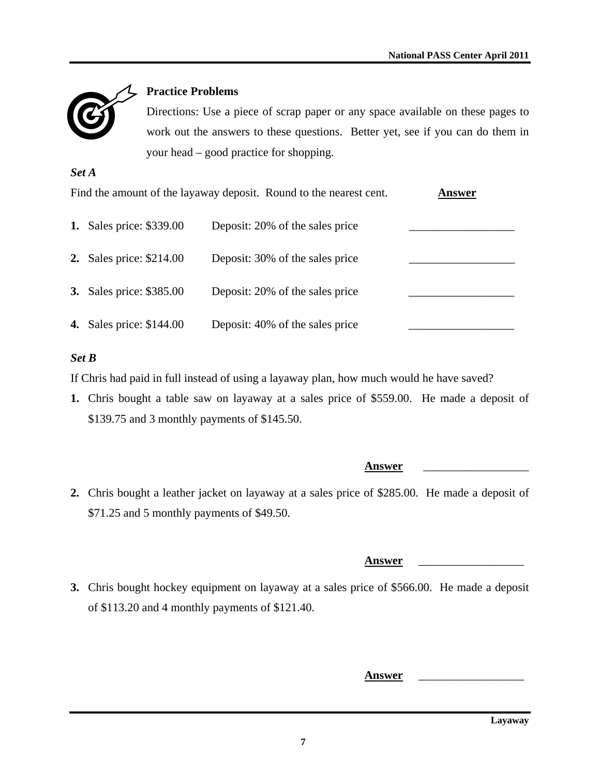

# **Practice Problems**

Directions: Use a piece of scrap paper or any space available on these pages to work out the answers to these questions. Better yet, see if you can do them in your head – good practice for shopping.

### *Set A*

| Find the amount of the layaway deposit. Round to the nearest cent. | Answer                          |  |
|--------------------------------------------------------------------|---------------------------------|--|
| <b>1.</b> Sales price: \$339.00                                    | Deposit: 20% of the sales price |  |
| <b>2.</b> Sales price: \$214.00                                    | Deposit: 30% of the sales price |  |
| <b>3.</b> Sales price: \$385.00                                    | Deposit: 20% of the sales price |  |
| <b>4.</b> Sales price: \$144.00                                    | Deposit: 40% of the sales price |  |

# *Set B*

If Chris had paid in full instead of using a layaway plan, how much would he have saved?

**1.** Chris bought a table saw on layaway at a sales price of \$559.00. He made a deposit of \$139.75 and 3 monthly payments of \$145.50.

| 2. Chris bought a leather jacket on layaway at a sales price of \$285.00. He made a deposit of |  |
|------------------------------------------------------------------------------------------------|--|
| \$71.25 and 5 monthly payments of \$49.50.                                                     |  |

#### **Answer** \_\_\_\_\_\_\_\_\_\_\_\_\_\_\_\_\_\_

**Answer** \_\_\_\_\_\_\_\_\_\_\_\_\_\_\_\_\_\_

**3.** Chris bought hockey equipment on layaway at a sales price of \$566.00. He made a deposit of \$113.20 and 4 monthly payments of \$121.40.

**Answer** \_\_\_\_\_\_\_\_\_\_\_\_\_\_\_\_\_\_